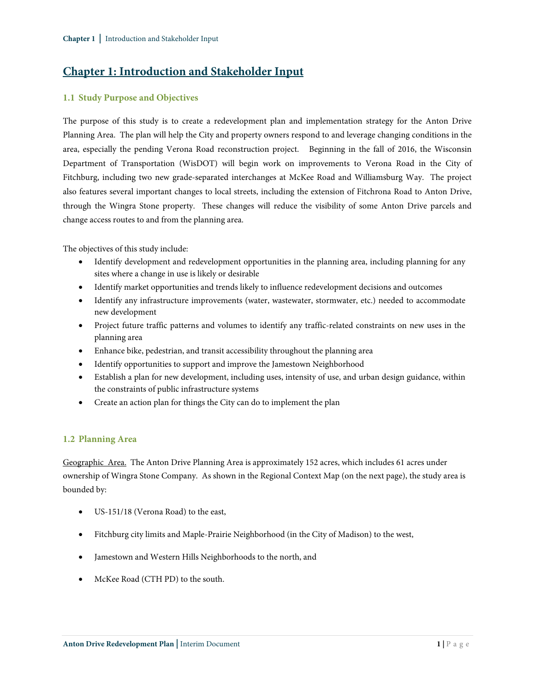# **Chapter 1: Introduction and Stakeholder Input**

# **1.1 Study Purpose and Objectives**

The purpose of this study is to create a redevelopment plan and implementation strategy for the Anton Drive Planning Area. The plan will help the City and property owners respond to and leverage changing conditions in the area, especially the pending Verona Road reconstruction project. Beginning in the fall of 2016, the Wisconsin Department of Transportation (WisDOT) will begin work on improvements to Verona Road in the City of Fitchburg, including two new grade-separated interchanges at McKee Road and Williamsburg Way. The project also features several important changes to local streets, including the extension of Fitchrona Road to Anton Drive, through the Wingra Stone property. These changes will reduce the visibility of some Anton Drive parcels and change access routes to and from the planning area.

The objectives of this study include:

- Identify development and redevelopment opportunities in the planning area, including planning for any sites where a change in use is likely or desirable
- Identify market opportunities and trends likely to influence redevelopment decisions and outcomes
- Identify any infrastructure improvements (water, wastewater, stormwater, etc.) needed to accommodate new development
- Project future traffic patterns and volumes to identify any traffic-related constraints on new uses in the planning area
- Enhance bike, pedestrian, and transit accessibility throughout the planning area
- Identify opportunities to support and improve the Jamestown Neighborhood
- Establish a plan for new development, including uses, intensity of use, and urban design guidance, within the constraints of public infrastructure systems
- Create an action plan for things the City can do to implement the plan

# **1.2 Planning Area**

Geographic Area. The Anton Drive Planning Area is approximately 152 acres, which includes 61 acres under ownership of Wingra Stone Company. As shown in the Regional Context Map (on the next page), the study area is bounded by:

- US-151/18 (Verona Road) to the east,
- Fitchburg city limits and Maple-Prairie Neighborhood (in the City of Madison) to the west,
- Jamestown and Western Hills Neighborhoods to the north, and
- McKee Road (CTH PD) to the south.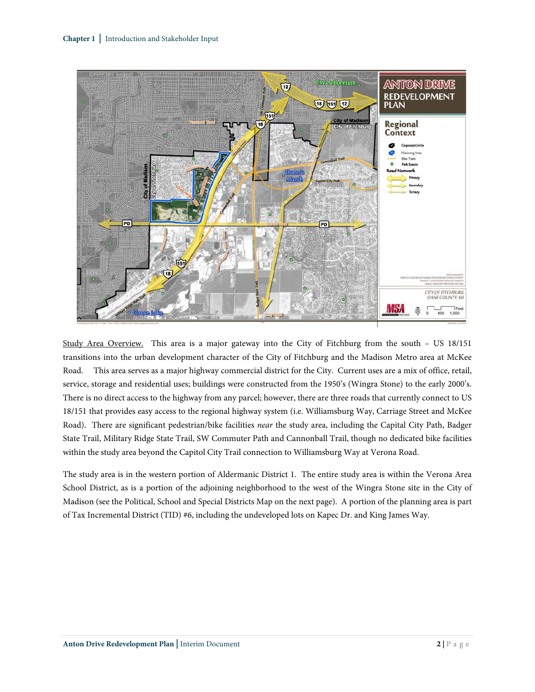

Study Area Overview. This area is a major gateway into the City of Fitchburg from the south – US 18/151 transitions into the urban development character of the City of Fitchburg and the Madison Metro area at McKee Road. This area serves as a major highway commercial district for the City. Current uses are a mix of office, retail, service, storage and residential uses; buildings were constructed from the 1950's (Wingra Stone) to the early 2000's. There is no direct access to the highway from any parcel; however, there are three roads that currently connect to US 18/151 that provides easy access to the regional highway system (i.e. Williamsburg Way, Carriage Street and McKee Road). There are significant pedestrian/bike facilities *near* the study area, including the Capital City Path, Badger State Trail, Military Ridge State Trail, SW Commuter Path and Cannonball Trail, though no dedicated bike facilities within the study area beyond the Capitol City Trail connection to Williamsburg Way at Verona Road.

The study area is in the western portion of Aldermanic District 1. The entire study area is within the Verona Area School District, as is a portion of the adjoining neighborhood to the west of the Wingra Stone site in the City of Madison (see the Political, School and Special Districts Map on the next page). A portion of the planning area is part of Tax Incremental District (TID) #6, including the undeveloped lots on Kapec Dr. and King James Way.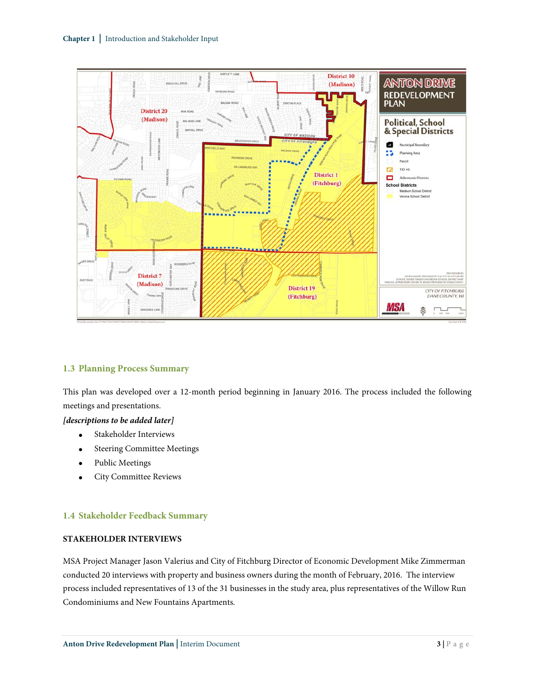

### **1.3 Planning Process Summary**

This plan was developed over a 12-month period beginning in January 2016. The process included the following meetings and presentations.

## *[descriptions to be added later]*

- Stakeholder Interviews
- Steering Committee Meetings
- Public Meetings
- City Committee Reviews

#### **1.4 Stakeholder Feedback Summary**

## **STAKEHOLDER INTERVIEWS**

MSA Project Manager Jason Valerius and City of Fitchburg Director of Economic Development Mike Zimmerman conducted 20 interviews with property and business owners during the month of February, 2016. The interview process included representatives of 13 of the 31 businesses in the study area, plus representatives of the Willow Run Condominiums and New Fountains Apartments.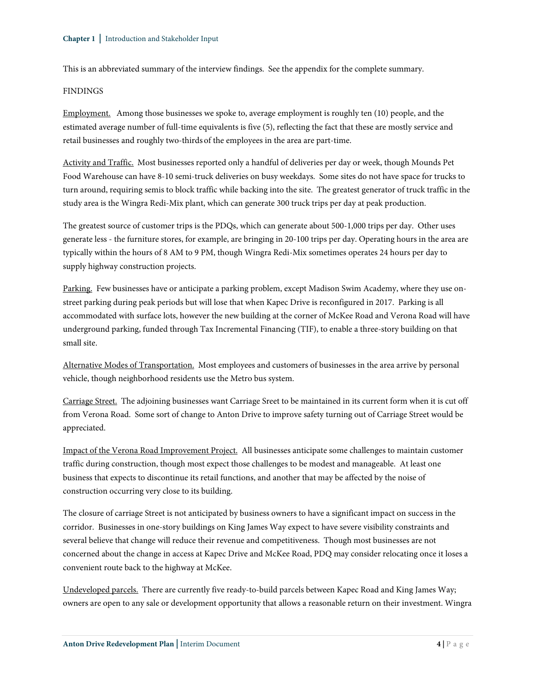This is an abbreviated summary of the interview findings. See the appendix for the complete summary.

#### FINDINGS

Employment. Among those businesses we spoke to, average employment is roughly ten (10) people, and the estimated average number of full-time equivalents is five (5), reflecting the fact that these are mostly service and retail businesses and roughly two-thirds of the employees in the area are part-time.

Activity and Traffic. Most businesses reported only a handful of deliveries per day or week, though Mounds Pet Food Warehouse can have 8-10 semi-truck deliveries on busy weekdays. Some sites do not have space for trucks to turn around, requiring semis to block traffic while backing into the site. The greatest generator of truck traffic in the study area is the Wingra Redi-Mix plant, which can generate 300 truck trips per day at peak production.

The greatest source of customer trips is the PDQs, which can generate about 500-1,000 trips per day. Other uses generate less - the furniture stores, for example, are bringing in 20-100 trips per day. Operating hours in the area are typically within the hours of 8 AM to 9 PM, though Wingra Redi-Mix sometimes operates 24 hours per day to supply highway construction projects.

Parking. Few businesses have or anticipate a parking problem, except Madison Swim Academy, where they use onstreet parking during peak periods but will lose that when Kapec Drive is reconfigured in 2017. Parking is all accommodated with surface lots, however the new building at the corner of McKee Road and Verona Road will have underground parking, funded through Tax Incremental Financing (TIF), to enable a three-story building on that small site.

Alternative Modes of Transportation. Most employees and customers of businesses in the area arrive by personal vehicle, though neighborhood residents use the Metro bus system.

Carriage Street. The adjoining businesses want Carriage Sreet to be maintained in its current form when it is cut off from Verona Road. Some sort of change to Anton Drive to improve safety turning out of Carriage Street would be appreciated.

Impact of the Verona Road Improvement Project. All businesses anticipate some challenges to maintain customer traffic during construction, though most expect those challenges to be modest and manageable. At least one business that expects to discontinue its retail functions, and another that may be affected by the noise of construction occurring very close to its building.

The closure of carriage Street is not anticipated by business owners to have a significant impact on success in the corridor. Businesses in one-story buildings on King James Way expect to have severe visibility constraints and several believe that change will reduce their revenue and competitiveness. Though most businesses are not concerned about the change in access at Kapec Drive and McKee Road, PDQ may consider relocating once it loses a convenient route back to the highway at McKee.

Undeveloped parcels. There are currently five ready-to-build parcels between Kapec Road and King James Way; owners are open to any sale or development opportunity that allows a reasonable return on their investment. Wingra